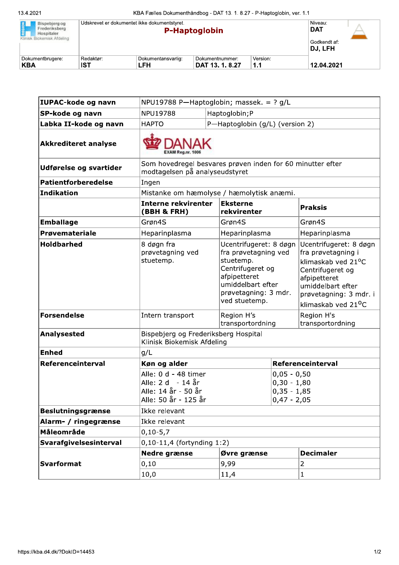| REGION<br>Bispebjerg og<br>Frederiksberg<br>Hospitaler.<br>Klinisk Biokemisk Afdeling | Udskrevet er dokumentet ikke dokumentstyret. |                           | <b>P-Haptoglobin</b>               |                 | Niveau:<br><b>DAT</b><br>Godkendt af:<br>DJ. LFH |  |
|---------------------------------------------------------------------------------------|----------------------------------------------|---------------------------|------------------------------------|-----------------|--------------------------------------------------|--|
| Dokumentbrugere:<br><b>KBA</b>                                                        | Redaktør:<br><b>IST</b>                      | Dokumentansvarlig:<br>LFH | Dokumentnummer:<br>DAT 13, 1, 8.27 | Version:<br>1.1 | 12.04.2021                                       |  |

| IUPAC-kode og navn          | NPU19788 P-Haptoglobin; massek. = ? g/L                                                      |                                                                                                                                                               |                                                                  |                                                                                                                                                                                          |  |
|-----------------------------|----------------------------------------------------------------------------------------------|---------------------------------------------------------------------------------------------------------------------------------------------------------------|------------------------------------------------------------------|------------------------------------------------------------------------------------------------------------------------------------------------------------------------------------------|--|
| SP-kode og navn             | <b>NPU19788</b>                                                                              | Haptoglobin;P                                                                                                                                                 |                                                                  |                                                                                                                                                                                          |  |
| Labka II-kode og navn       | P-Haptoglobin (g/L) (version 2)<br><b>HAPTO</b>                                              |                                                                                                                                                               |                                                                  |                                                                                                                                                                                          |  |
| <b>Akkrediteret analyse</b> |                                                                                              |                                                                                                                                                               |                                                                  |                                                                                                                                                                                          |  |
| Udførelse og svartider      | Som hovedregel besvares prøven inden for 60 minutter efter<br>modtagelsen på analyseudstyret |                                                                                                                                                               |                                                                  |                                                                                                                                                                                          |  |
| <b>Patientforberedelse</b>  | Ingen                                                                                        |                                                                                                                                                               |                                                                  |                                                                                                                                                                                          |  |
| <b>Indikation</b>           | Mistanke om hæmolyse / hæmolytisk anæmi.                                                     |                                                                                                                                                               |                                                                  |                                                                                                                                                                                          |  |
|                             | <b>Interne rekvirenter</b><br>(BBH & FRH)                                                    | <b>Eksterne</b><br>rekvirenter                                                                                                                                |                                                                  | <b>Praksis</b>                                                                                                                                                                           |  |
| <b>Emballage</b>            | Grøn4S                                                                                       | Grøn4S                                                                                                                                                        |                                                                  | Grøn4S                                                                                                                                                                                   |  |
| Prøvemateriale              | Heparinplasma                                                                                | Heparinplasma                                                                                                                                                 |                                                                  | Heparinplasma                                                                                                                                                                            |  |
| <b>Holdbarhed</b>           | 8 døgn fra<br>prøvetagning ved<br>stuetemp.                                                  | Ucentrifugeret: 8 døgn<br>fra prøvetagning ved<br>stuetemp.<br>Centrifugeret og<br>afpipetteret<br>umiddelbart efter<br>prøvetagning: 3 mdr.<br>ved stuetemp. |                                                                  | Ucentrifugeret: 8 døgn<br>fra prøvetagning i<br>klimaskab ved 21°C<br>Centrifugeret og<br>afpipetteret<br>umiddelbart efter<br>prøvetagning: 3 mdr. i<br>klimaskab ved 21 <sup>o</sup> C |  |
| <b>Forsendelse</b>          | Intern transport                                                                             | Region H's<br>transportordning                                                                                                                                |                                                                  | Region H's<br>transportordning                                                                                                                                                           |  |
| <b>Analysested</b>          | Bispebjerg og Frederiksberg Hospital<br>Klinisk Biokemisk Afdeling                           |                                                                                                                                                               |                                                                  |                                                                                                                                                                                          |  |
| <b>Enhed</b>                | g/L                                                                                          |                                                                                                                                                               |                                                                  |                                                                                                                                                                                          |  |
| Referenceinterval           | Køn og alder                                                                                 |                                                                                                                                                               |                                                                  | Referenceinterval                                                                                                                                                                        |  |
|                             | Alle: 0 d - 48 timer<br>Alle: 2 d - 14 år<br>Alle: 14 år - 50 år<br>Alle: 50 år - 125 år     |                                                                                                                                                               | $0,05 - 0,50$<br>$0,30 - 1,80$<br>$0,35 - 1,85$<br>$0,47 - 2,05$ |                                                                                                                                                                                          |  |
| <b>Beslutningsgrænse</b>    | Ikke relevant                                                                                |                                                                                                                                                               |                                                                  |                                                                                                                                                                                          |  |
| Alarm- / ringegrænse        | Ikke relevant                                                                                |                                                                                                                                                               |                                                                  |                                                                                                                                                                                          |  |
| Måleområde                  | $0, 10 - 5, 7$                                                                               |                                                                                                                                                               |                                                                  |                                                                                                                                                                                          |  |
| Svarafgivelsesinterval      | $0, 10 - 11, 4$ (fortynding 1:2)                                                             |                                                                                                                                                               |                                                                  |                                                                                                                                                                                          |  |
|                             | Nedre grænse<br>Øvre grænse                                                                  |                                                                                                                                                               | <b>Decimaler</b>                                                 |                                                                                                                                                                                          |  |
| <b>Svarformat</b>           | 0,10                                                                                         | 9,99                                                                                                                                                          |                                                                  | $\overline{2}$                                                                                                                                                                           |  |
|                             | 10,0                                                                                         | 11,4                                                                                                                                                          |                                                                  | $\mathbf{1}$                                                                                                                                                                             |  |